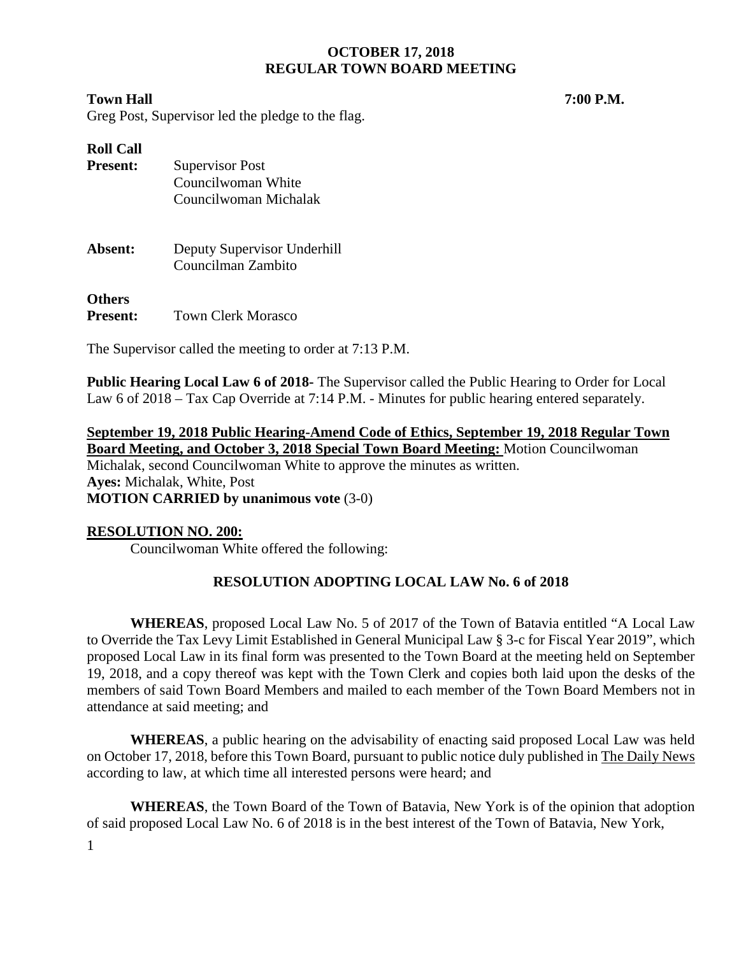### **Town Hall 7:00 P.M.**

Greg Post, Supervisor led the pledge to the flag.

| <b>Roll Call</b><br><b>Present:</b> | <b>Supervisor Post</b><br>Councilwoman White<br>Councilwoman Michalak |
|-------------------------------------|-----------------------------------------------------------------------|
| Absent:                             | Deputy Supervisor Underhill<br>Councilman Zambito                     |
| <b>Others</b><br><b>Present:</b>    | Town Clerk Morasco                                                    |

The Supervisor called the meeting to order at 7:13 P.M.

**Public Hearing Local Law 6 of 2018-** The Supervisor called the Public Hearing to Order for Local Law 6 of 2018 – Tax Cap Override at 7:14 P.M. - Minutes for public hearing entered separately.

**September 19, 2018 Public Hearing-Amend Code of Ethics, September 19, 2018 Regular Town Board Meeting, and October 3, 2018 Special Town Board Meeting:** Motion Councilwoman Michalak, second Councilwoman White to approve the minutes as written. **Ayes:** Michalak, White, Post **MOTION CARRIED by unanimous vote** (3-0)

## **RESOLUTION NO. 200:**

Councilwoman White offered the following:

## **RESOLUTION ADOPTING LOCAL LAW No. 6 of 2018**

**WHEREAS**, proposed Local Law No. 5 of 2017 of the Town of Batavia entitled "A Local Law to Override the Tax Levy Limit Established in General Municipal Law § 3-c for Fiscal Year 2019", which proposed Local Law in its final form was presented to the Town Board at the meeting held on September 19, 2018, and a copy thereof was kept with the Town Clerk and copies both laid upon the desks of the members of said Town Board Members and mailed to each member of the Town Board Members not in attendance at said meeting; and

**WHEREAS**, a public hearing on the advisability of enacting said proposed Local Law was held on October 17, 2018, before this Town Board, pursuant to public notice duly published in The Daily News according to law, at which time all interested persons were heard; and

**WHEREAS**, the Town Board of the Town of Batavia, New York is of the opinion that adoption of said proposed Local Law No. 6 of 2018 is in the best interest of the Town of Batavia, New York,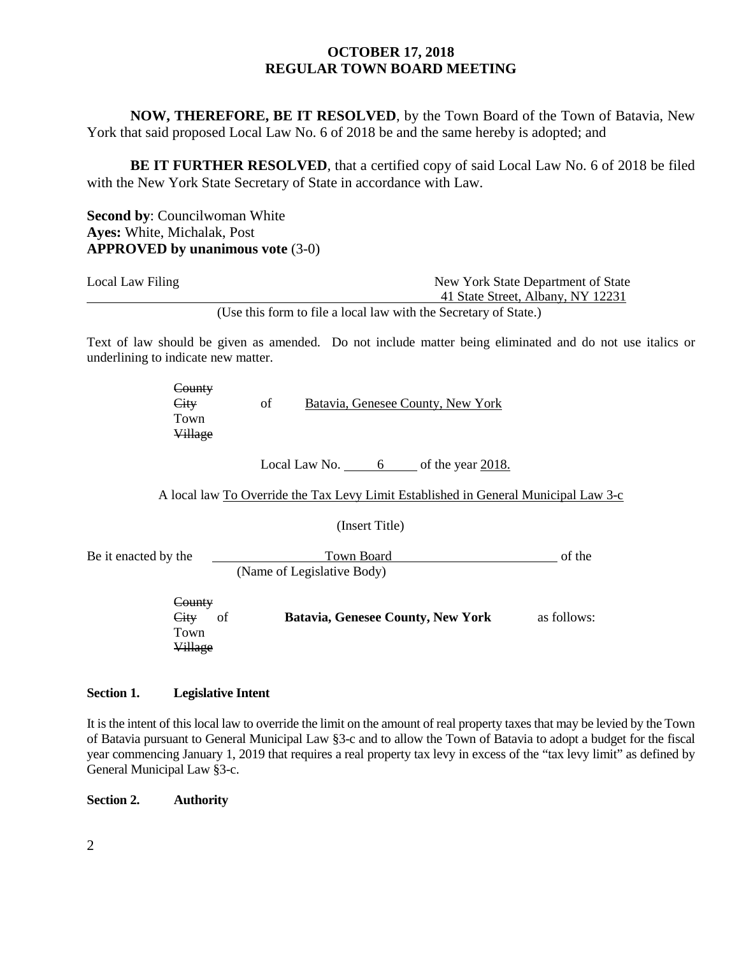**NOW, THEREFORE, BE IT RESOLVED**, by the Town Board of the Town of Batavia, New York that said proposed Local Law No. 6 of 2018 be and the same hereby is adopted; and

**BE IT FURTHER RESOLVED**, that a certified copy of said Local Law No. 6 of 2018 be filed with the New York State Secretary of State in accordance with Law.

**Second by**: Councilwoman White **Ayes:** White, Michalak, Post **APPROVED by unanimous vote** (3-0)

| Local Law Filing                                                 | New York State Department of State |
|------------------------------------------------------------------|------------------------------------|
|                                                                  | 41 State Street, Albany, NY 12231  |
| (Use this form to file a local law with the Secretary of State.) |                                    |

Text of law should be given as amended. Do not include matter being eliminated and do not use italics or underlining to indicate new matter.

> **County** City of Batavia, Genesee County, New York Town Village

> > Local Law No. 6 of the year 2018.

A local law To Override the Tax Levy Limit Established in General Municipal Law 3-c

(Insert Title)

Be it enacted by the Town Board Communication of the Town Board (Name of Legislative Body)

> **County** City of **Batavia, Genesee County, New York** as follows: Town Village

#### **Section 1. Legislative Intent**

It is the intent of this local law to override the limit on the amount of real property taxes that may be levied by the Town of Batavia pursuant to General Municipal Law §3-c and to allow the Town of Batavia to adopt a budget for the fiscal year commencing January 1, 2019 that requires a real property tax levy in excess of the "tax levy limit" as defined by General Municipal Law §3-c.

**Section 2. Authority**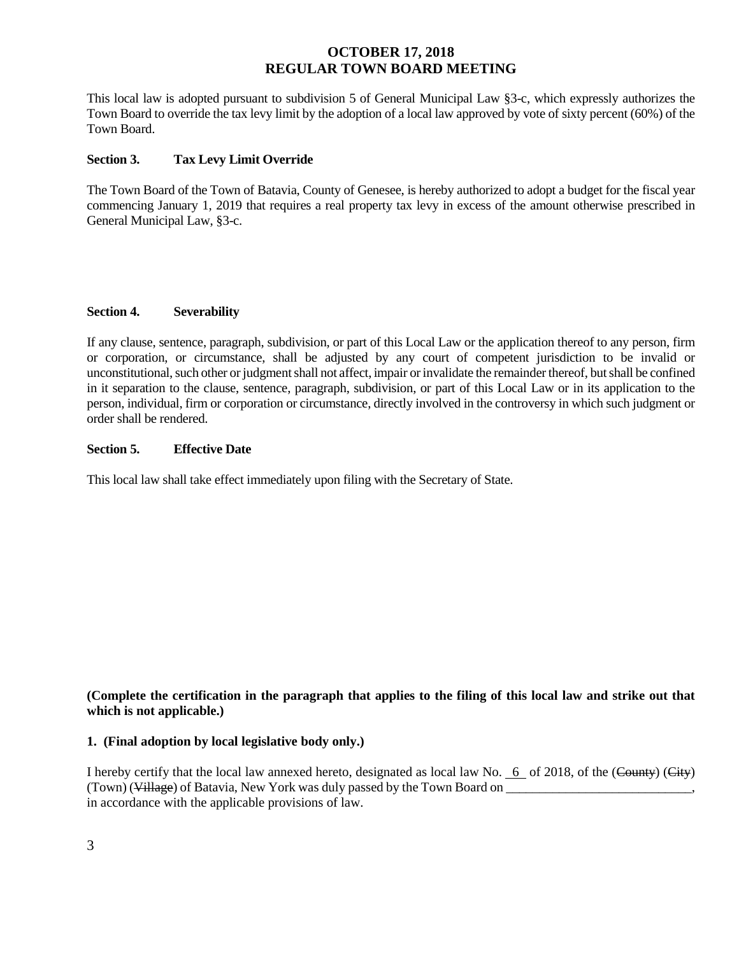This local law is adopted pursuant to subdivision 5 of General Municipal Law §3-c, which expressly authorizes the Town Board to override the tax levy limit by the adoption of a local law approved by vote of sixty percent (60%) of the Town Board.

#### **Section 3. Tax Levy Limit Override**

The Town Board of the Town of Batavia, County of Genesee, is hereby authorized to adopt a budget for the fiscal year commencing January 1, 2019 that requires a real property tax levy in excess of the amount otherwise prescribed in General Municipal Law, §3-c.

#### **Section 4. Severability**

If any clause, sentence, paragraph, subdivision, or part of this Local Law or the application thereof to any person, firm or corporation, or circumstance, shall be adjusted by any court of competent jurisdiction to be invalid or unconstitutional, such other or judgment shall not affect, impair or invalidate the remainder thereof, but shall be confined in it separation to the clause, sentence, paragraph, subdivision, or part of this Local Law or in its application to the person, individual, firm or corporation or circumstance, directly involved in the controversy in which such judgment or order shall be rendered.

#### **Section 5. Effective Date**

This local law shall take effect immediately upon filing with the Secretary of State.

**(Complete the certification in the paragraph that applies to the filing of this local law and strike out that which is not applicable.)**

#### **1. (Final adoption by local legislative body only.)**

I hereby certify that the local law annexed hereto, designated as local law No.  $6$  of 2018, of the (County) (City) (Town) (Village) of Batavia, New York was duly passed by the Town Board on \_\_\_\_\_\_\_\_\_\_\_\_\_\_\_\_\_\_\_\_\_\_\_\_\_\_\_\_, in accordance with the applicable provisions of law.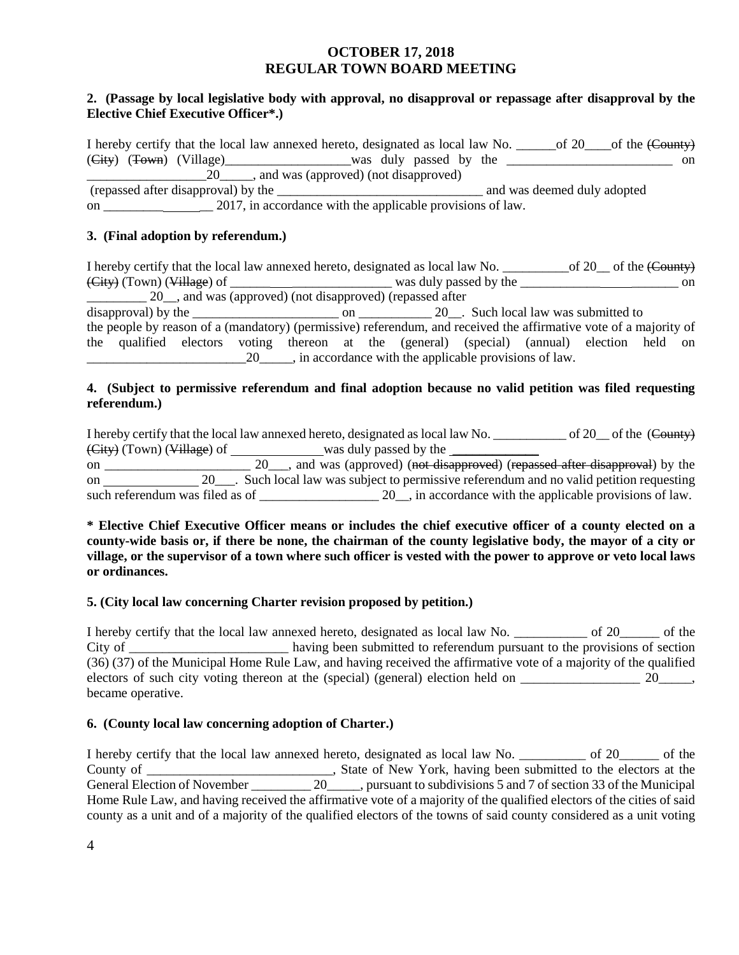#### **2. (Passage by local legislative body with approval, no disapproval or repassage after disapproval by the Elective Chief Executive Officer\*.)**

I hereby certify that the local law annexed hereto, designated as local law No. \_\_\_\_\_\_of 20\_\_\_\_of the (County) (City) (Town) (Village)\_\_\_\_\_\_\_\_\_\_\_\_\_\_\_\_\_\_\_was duly passed by the \_\_\_\_\_\_\_\_\_\_\_\_\_\_\_\_\_\_\_\_\_\_\_\_\_ on 20 and was (approved) (not disapproved) (repassed after disapproval) by the \_\_\_\_\_\_\_\_\_\_\_\_\_\_\_\_\_\_\_\_\_\_\_\_\_\_\_\_\_\_\_ and was deemed duly adopted on \_\_\_\_\_\_\_\_\_ \_\_ 2017, in accordance with the applicable provisions of law.

#### **3. (Final adoption by referendum.)**

I hereby certify that the local law annexed hereto, designated as local law No. \_\_\_\_\_\_\_\_\_\_of 20\_\_ of the (County) (City) (Town) (Village) of \_\_\_\_\_\_ \_\_\_\_\_\_\_\_\_\_\_\_\_\_\_ was duly passed by the \_\_\_\_\_\_\_\_\_\_\_\_ \_\_\_\_\_\_\_ on

\_\_\_\_\_\_\_\_\_ 20\_\_, and was (approved) (not disapproved) (repassed after

disapproval) by the \_\_\_\_\_\_\_\_\_\_\_\_\_\_\_\_\_\_\_\_\_\_ on \_\_\_\_\_\_\_\_\_\_\_ 20\_\_. Such local law was submitted to

the people by reason of a (mandatory) (permissive) referendum, and received the affirmative vote of a majority of the qualified electors voting thereon at the (general) (special) (annual) election held on 20 helpha accordance with the applicable provisions of law.

#### **4. (Subject to permissive referendum and final adoption because no valid petition was filed requesting referendum.)**

I hereby certify that the local law annexed hereto, designated as local law No. \_\_\_\_\_\_\_\_\_\_\_ of 20\_\_ of the (County) (City) (Town) (Village) of was duly passed by the was duly passed by the was duly passed by the was duly passed by the was duly passed by the was duly passed by the was duly passed by the was duly passed by the was duly pa on \_\_\_\_\_\_\_\_\_\_\_\_\_\_\_\_\_\_\_\_\_\_ 20\_\_\_, and was (approved) (not disapproved) (repassed after disapproval) by the on 20\_\_\_. Such local law was subject to permissive referendum and no valid petition requesting such referendum was filed as of \_\_\_\_\_\_\_\_\_\_\_\_\_\_\_\_\_\_ 20\_, in accordance with the applicable provisions of law.

**\* Elective Chief Executive Officer means or includes the chief executive officer of a county elected on a county-wide basis or, if there be none, the chairman of the county legislative body, the mayor of a city or village, or the supervisor of a town where such officer is vested with the power to approve or veto local laws or ordinances.**

#### **5. (City local law concerning Charter revision proposed by petition.)**

I hereby certify that the local law annexed hereto, designated as local law No. \_\_\_\_\_\_\_\_\_\_\_ of 20\_\_\_\_\_\_ of the City of the contract of the having been submitted to referendum pursuant to the provisions of section (36) (37) of the Municipal Home Rule Law, and having received the affirmative vote of a majority of the qualified electors of such city voting thereon at the (special) (general) election held on  $\frac{20}{\sqrt{25}}$ , became operative.

#### **6. (County local law concerning adoption of Charter.)**

I hereby certify that the local law annexed hereto, designated as local law No. \_\_\_\_\_\_\_\_\_\_ of 20\_\_\_\_\_\_ of the County of \_\_\_\_\_\_\_\_\_\_\_\_\_\_\_\_\_\_\_\_\_\_\_\_\_\_, State of New York, having been submitted to the electors at the General Election of November \_\_\_\_\_\_\_\_\_\_\_ 20\_\_\_\_\_, pursuant to subdivisions 5 and 7 of section 33 of the Municipal Home Rule Law, and having received the affirmative vote of a majority of the qualified electors of the cities of said county as a unit and of a majority of the qualified electors of the towns of said county considered as a unit voting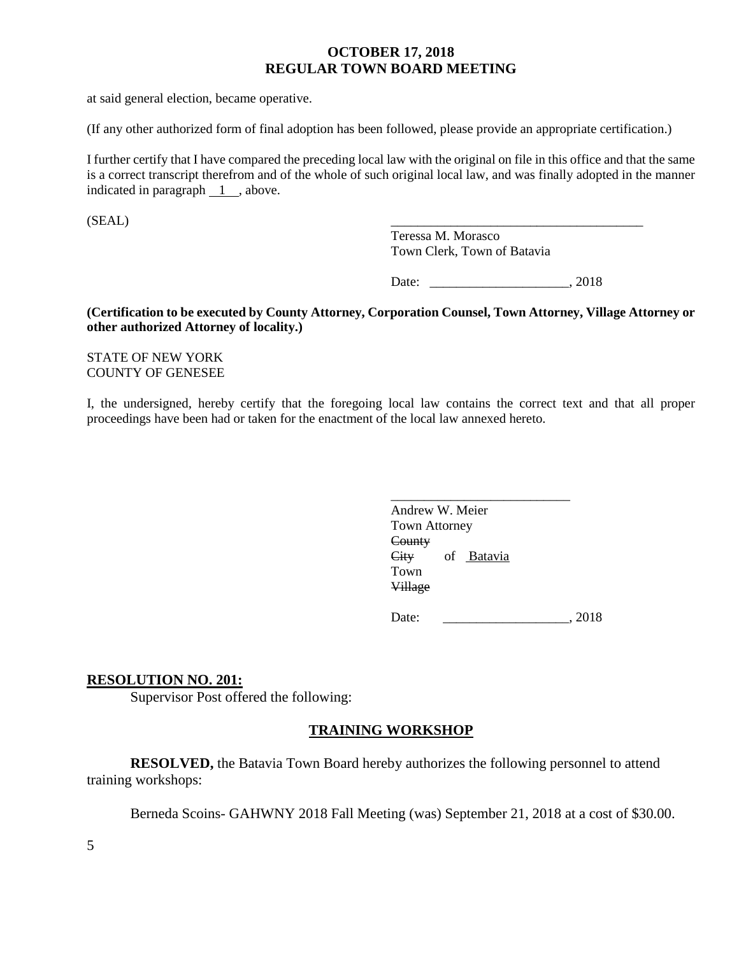at said general election, became operative.

(If any other authorized form of final adoption has been followed, please provide an appropriate certification.)

I further certify that I have compared the preceding local law with the original on file in this office and that the same is a correct transcript therefrom and of the whole of such original local law, and was finally adopted in the manner indicated in paragraph 1 , above.

 $(SEAL)$ 

Teressa M. Morasco Town Clerk, Town of Batavia

Date: \_\_\_\_\_\_\_\_\_\_\_\_\_\_\_\_\_\_\_\_\_, 2018

**(Certification to be executed by County Attorney, Corporation Counsel, Town Attorney, Village Attorney or other authorized Attorney of locality.)**

STATE OF NEW YORK COUNTY OF GENESEE

I, the undersigned, hereby certify that the foregoing local law contains the correct text and that all proper proceedings have been had or taken for the enactment of the local law annexed hereto.

| Andrew W. Meier      |      |
|----------------------|------|
| <b>Town Attorney</b> |      |
| County               |      |
| City<br>of Batavia   |      |
| Town                 |      |
| <b>Village</b>       |      |
| Date:                | 2018 |

#### **RESOLUTION NO. 201:**

Supervisor Post offered the following:

#### **TRAINING WORKSHOP**

**RESOLVED,** the Batavia Town Board hereby authorizes the following personnel to attend training workshops:

Berneda Scoins- GAHWNY 2018 Fall Meeting (was) September 21, 2018 at a cost of \$30.00.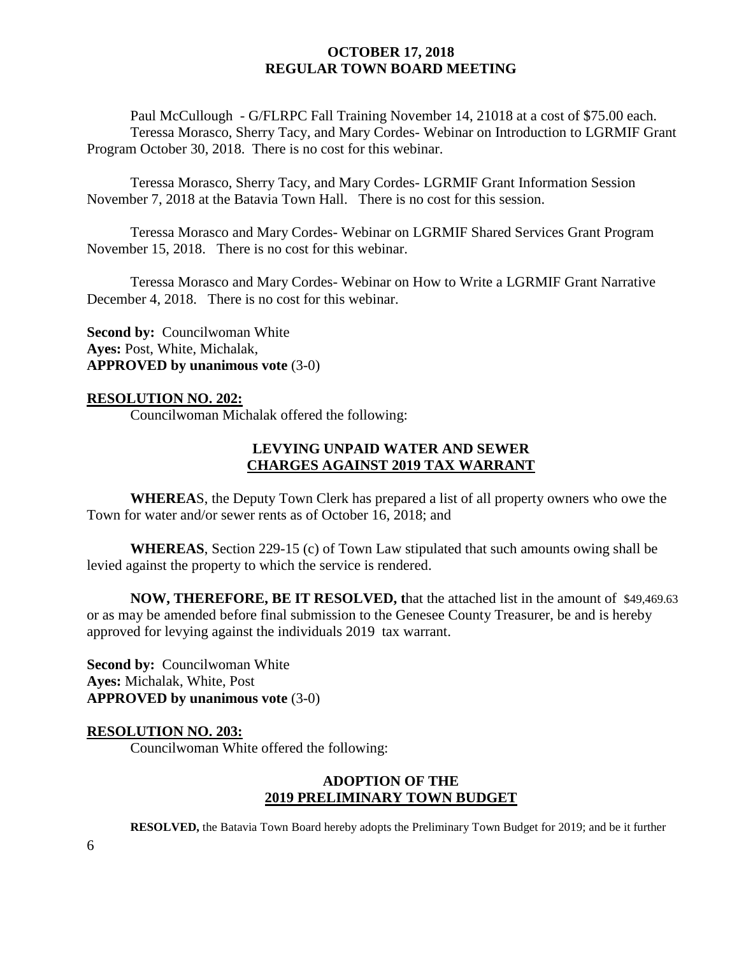Paul McCullough - G/FLRPC Fall Training November 14, 21018 at a cost of \$75.00 each. Teressa Morasco, Sherry Tacy, and Mary Cordes- Webinar on Introduction to LGRMIF Grant Program October 30, 2018. There is no cost for this webinar.

Teressa Morasco, Sherry Tacy, and Mary Cordes- LGRMIF Grant Information Session November 7, 2018 at the Batavia Town Hall. There is no cost for this session.

Teressa Morasco and Mary Cordes- Webinar on LGRMIF Shared Services Grant Program November 15, 2018. There is no cost for this webinar.

Teressa Morasco and Mary Cordes- Webinar on How to Write a LGRMIF Grant Narrative December 4, 2018. There is no cost for this webinar.

**Second by:** Councilwoman White **Ayes:** Post, White, Michalak, **APPROVED by unanimous vote** (3-0)

#### **RESOLUTION NO. 202:**

Councilwoman Michalak offered the following:

### **LEVYING UNPAID WATER AND SEWER CHARGES AGAINST 2019 TAX WARRANT**

**WHEREA**S, the Deputy Town Clerk has prepared a list of all property owners who owe the Town for water and/or sewer rents as of October 16, 2018; and

**WHEREAS**, Section 229-15 (c) of Town Law stipulated that such amounts owing shall be levied against the property to which the service is rendered.

**NOW, THEREFORE, BE IT RESOLVED, t**hat the attached list in the amount of \$49,469.63 or as may be amended before final submission to the Genesee County Treasurer, be and is hereby approved for levying against the individuals 2019 tax warrant.

**Second by: Councilwoman White Ayes:** Michalak, White, Post **APPROVED by unanimous vote** (3-0)

#### **RESOLUTION NO. 203:**

Councilwoman White offered the following:

## **ADOPTION OF THE 2019 PRELIMINARY TOWN BUDGET**

**RESOLVED,** the Batavia Town Board hereby adopts the Preliminary Town Budget for 2019; and be it further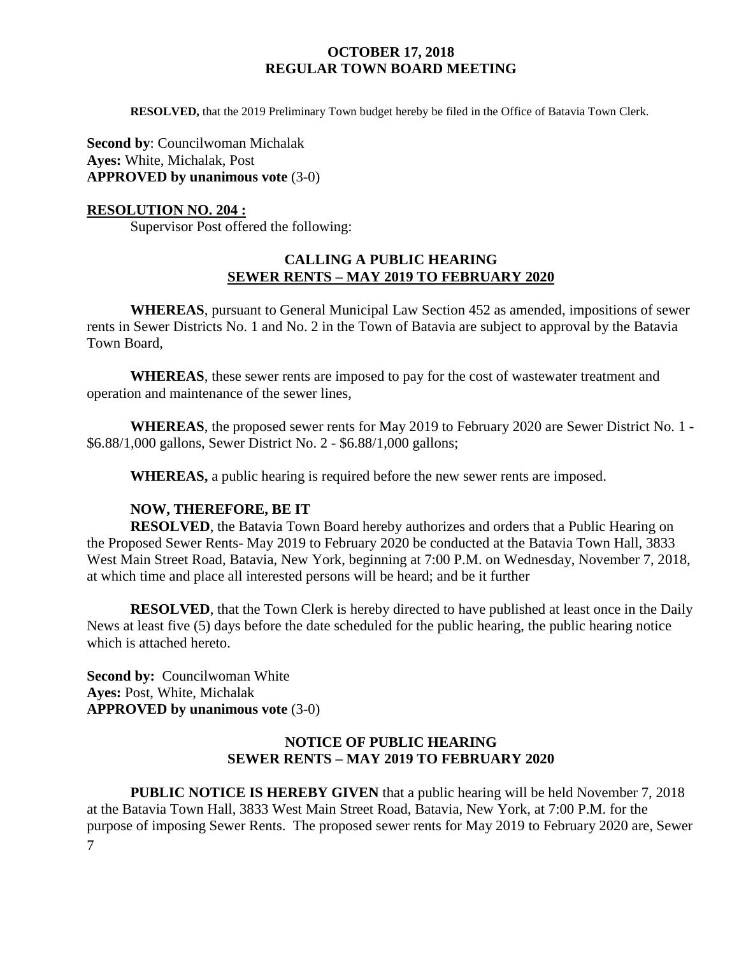**RESOLVED,** that the 2019 Preliminary Town budget hereby be filed in the Office of Batavia Town Clerk.

**Second by**: Councilwoman Michalak **Ayes:** White, Michalak, Post **APPROVED by unanimous vote** (3-0)

#### **RESOLUTION NO. 204 :**

Supervisor Post offered the following:

## **CALLING A PUBLIC HEARING SEWER RENTS – MAY 2019 TO FEBRUARY 2020**

**WHEREAS**, pursuant to General Municipal Law Section 452 as amended, impositions of sewer rents in Sewer Districts No. 1 and No. 2 in the Town of Batavia are subject to approval by the Batavia Town Board,

**WHEREAS**, these sewer rents are imposed to pay for the cost of wastewater treatment and operation and maintenance of the sewer lines,

**WHEREAS**, the proposed sewer rents for May 2019 to February 2020 are Sewer District No. 1 - \$6.88/1,000 gallons, Sewer District No. 2 - \$6.88/1,000 gallons;

**WHEREAS,** a public hearing is required before the new sewer rents are imposed.

## **NOW, THEREFORE, BE IT**

**RESOLVED**, the Batavia Town Board hereby authorizes and orders that a Public Hearing on the Proposed Sewer Rents- May 2019 to February 2020 be conducted at the Batavia Town Hall, 3833 West Main Street Road, Batavia, New York, beginning at 7:00 P.M. on Wednesday, November 7, 2018, at which time and place all interested persons will be heard; and be it further

**RESOLVED**, that the Town Clerk is hereby directed to have published at least once in the Daily News at least five (5) days before the date scheduled for the public hearing, the public hearing notice which is attached hereto.

**Second by:** Councilwoman White **Ayes:** Post, White, Michalak **APPROVED by unanimous vote** (3-0)

# **NOTICE OF PUBLIC HEARING SEWER RENTS – MAY 2019 TO FEBRUARY 2020**

7 **PUBLIC NOTICE IS HEREBY GIVEN** that a public hearing will be held November 7, 2018 at the Batavia Town Hall, 3833 West Main Street Road, Batavia, New York, at 7:00 P.M. for the purpose of imposing Sewer Rents. The proposed sewer rents for May 2019 to February 2020 are, Sewer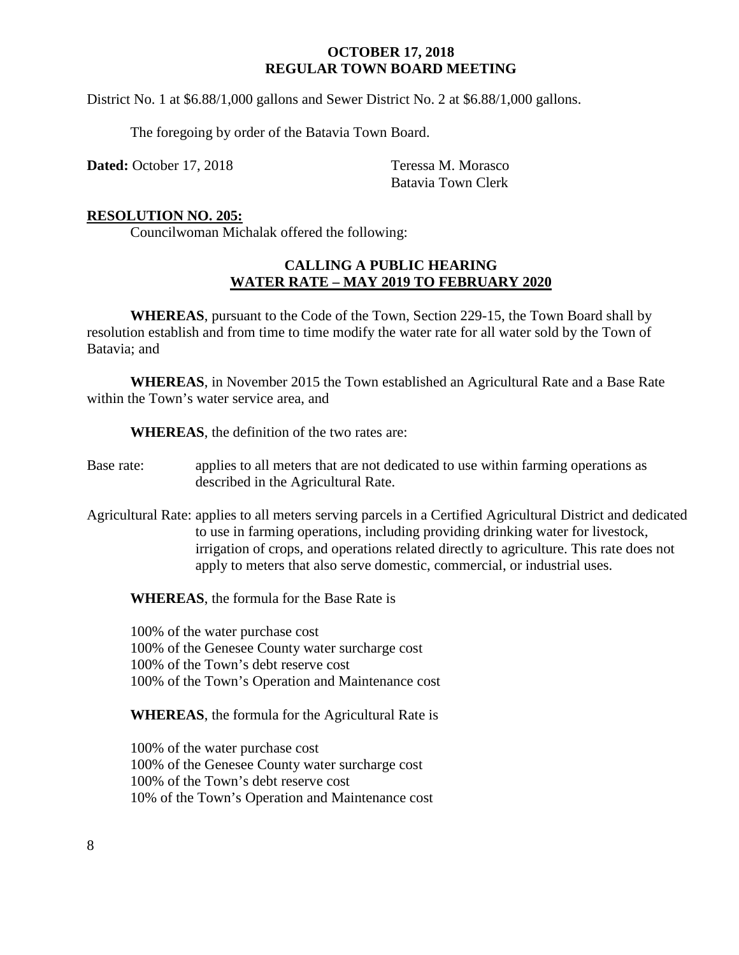District No. 1 at \$6.88/1,000 gallons and Sewer District No. 2 at \$6.88/1,000 gallons.

The foregoing by order of the Batavia Town Board.

**Dated:** October 17, 2018 Teressa M. Morasco

Batavia Town Clerk

### **RESOLUTION NO. 205:**

Councilwoman Michalak offered the following:

## **CALLING A PUBLIC HEARING WATER RATE – MAY 2019 TO FEBRUARY 2020**

**WHEREAS**, pursuant to the Code of the Town, Section 229-15, the Town Board shall by resolution establish and from time to time modify the water rate for all water sold by the Town of Batavia; and

**WHEREAS**, in November 2015 the Town established an Agricultural Rate and a Base Rate within the Town's water service area, and

**WHEREAS**, the definition of the two rates are:

- Base rate: applies to all meters that are not dedicated to use within farming operations as described in the Agricultural Rate.
- Agricultural Rate: applies to all meters serving parcels in a Certified Agricultural District and dedicated to use in farming operations, including providing drinking water for livestock, irrigation of crops, and operations related directly to agriculture. This rate does not apply to meters that also serve domestic, commercial, or industrial uses.

**WHEREAS**, the formula for the Base Rate is

100% of the water purchase cost 100% of the Genesee County water surcharge cost 100% of the Town's debt reserve cost 100% of the Town's Operation and Maintenance cost

**WHEREAS**, the formula for the Agricultural Rate is

100% of the water purchase cost 100% of the Genesee County water surcharge cost 100% of the Town's debt reserve cost 10% of the Town's Operation and Maintenance cost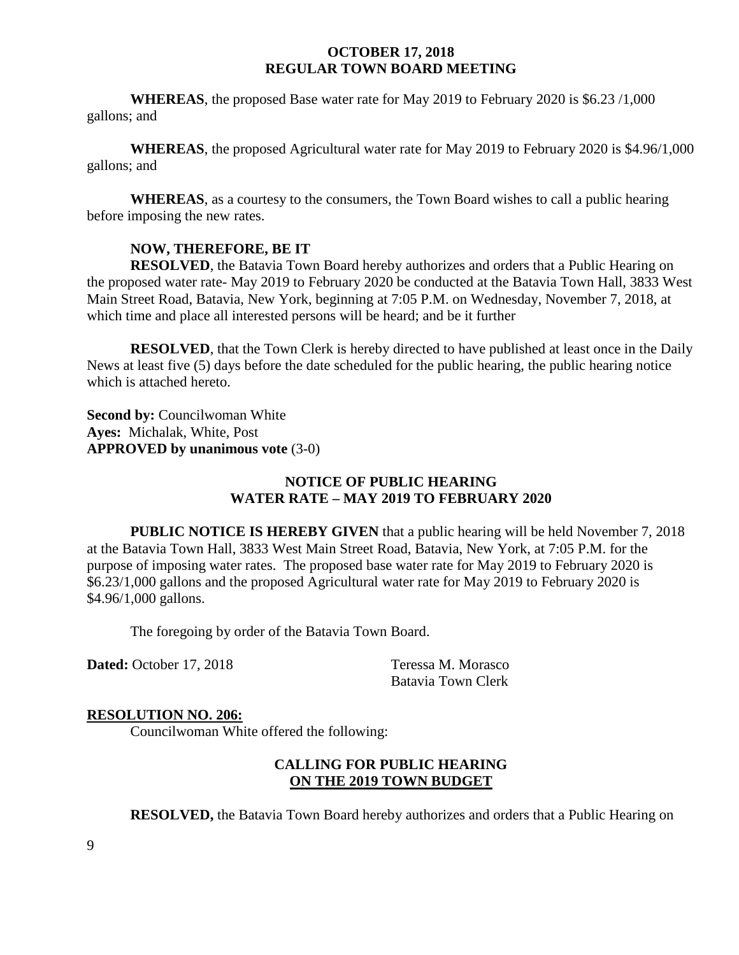**WHEREAS**, the proposed Base water rate for May 2019 to February 2020 is \$6.23 /1,000 gallons; and

**WHEREAS**, the proposed Agricultural water rate for May 2019 to February 2020 is \$4.96/1,000 gallons; and

**WHEREAS**, as a courtesy to the consumers, the Town Board wishes to call a public hearing before imposing the new rates.

#### **NOW, THEREFORE, BE IT**

**RESOLVED**, the Batavia Town Board hereby authorizes and orders that a Public Hearing on the proposed water rate- May 2019 to February 2020 be conducted at the Batavia Town Hall, 3833 West Main Street Road, Batavia, New York, beginning at 7:05 P.M. on Wednesday, November 7, 2018, at which time and place all interested persons will be heard; and be it further

**RESOLVED**, that the Town Clerk is hereby directed to have published at least once in the Daily News at least five (5) days before the date scheduled for the public hearing, the public hearing notice which is attached hereto.

**Second by: Councilwoman White Ayes:** Michalak, White, Post **APPROVED by unanimous vote** (3-0)

## **NOTICE OF PUBLIC HEARING WATER RATE – MAY 2019 TO FEBRUARY 2020**

**PUBLIC NOTICE IS HEREBY GIVEN** that a public hearing will be held November 7, 2018 at the Batavia Town Hall, 3833 West Main Street Road, Batavia, New York, at 7:05 P.M. for the purpose of imposing water rates. The proposed base water rate for May 2019 to February 2020 is \$6.23/1,000 gallons and the proposed Agricultural water rate for May 2019 to February 2020 is \$4.96/1,000 gallons.

The foregoing by order of the Batavia Town Board.

**Dated:** October 17, 2018 Teressa M. Morasco

Batavia Town Clerk

#### **RESOLUTION NO. 206:**

Councilwoman White offered the following:

### **CALLING FOR PUBLIC HEARING ON THE 2019 TOWN BUDGET**

**RESOLVED,** the Batavia Town Board hereby authorizes and orders that a Public Hearing on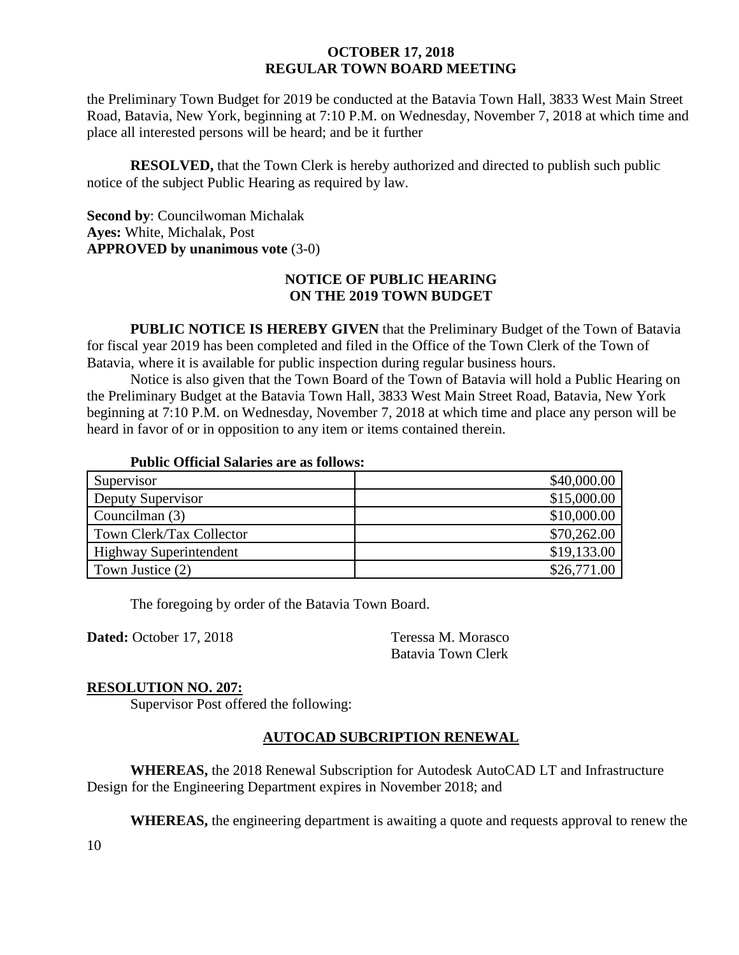the Preliminary Town Budget for 2019 be conducted at the Batavia Town Hall, 3833 West Main Street Road, Batavia, New York, beginning at 7:10 P.M. on Wednesday, November 7, 2018 at which time and place all interested persons will be heard; and be it further

**RESOLVED,** that the Town Clerk is hereby authorized and directed to publish such public notice of the subject Public Hearing as required by law.

**Second by**: Councilwoman Michalak **Ayes:** White, Michalak, Post **APPROVED by unanimous vote** (3-0)

# **NOTICE OF PUBLIC HEARING ON THE 2019 TOWN BUDGET**

**PUBLIC NOTICE IS HEREBY GIVEN** that the Preliminary Budget of the Town of Batavia for fiscal year 2019 has been completed and filed in the Office of the Town Clerk of the Town of Batavia, where it is available for public inspection during regular business hours.

Notice is also given that the Town Board of the Town of Batavia will hold a Public Hearing on the Preliminary Budget at the Batavia Town Hall, 3833 West Main Street Road, Batavia, New York beginning at 7:10 P.M. on Wednesday, November 7, 2018 at which time and place any person will be heard in favor of or in opposition to any item or items contained therein.

#### **Public Official Salaries are as follows:**

| Supervisor                    | \$40,000.00 |
|-------------------------------|-------------|
| Deputy Supervisor             | \$15,000.00 |
| Councilman (3)                | \$10,000.00 |
| Town Clerk/Tax Collector      | \$70,262.00 |
| <b>Highway Superintendent</b> | \$19,133.00 |
| Town Justice (2)              | \$26,771.00 |

The foregoing by order of the Batavia Town Board.

**Dated:** October 17, 2018 Teressa M. Morasco

Batavia Town Clerk

## **RESOLUTION NO. 207:**

Supervisor Post offered the following:

# **AUTOCAD SUBCRIPTION RENEWAL**

**WHEREAS,** the 2018 Renewal Subscription for Autodesk AutoCAD LT and Infrastructure Design for the Engineering Department expires in November 2018; and

**WHEREAS,** the engineering department is awaiting a quote and requests approval to renew the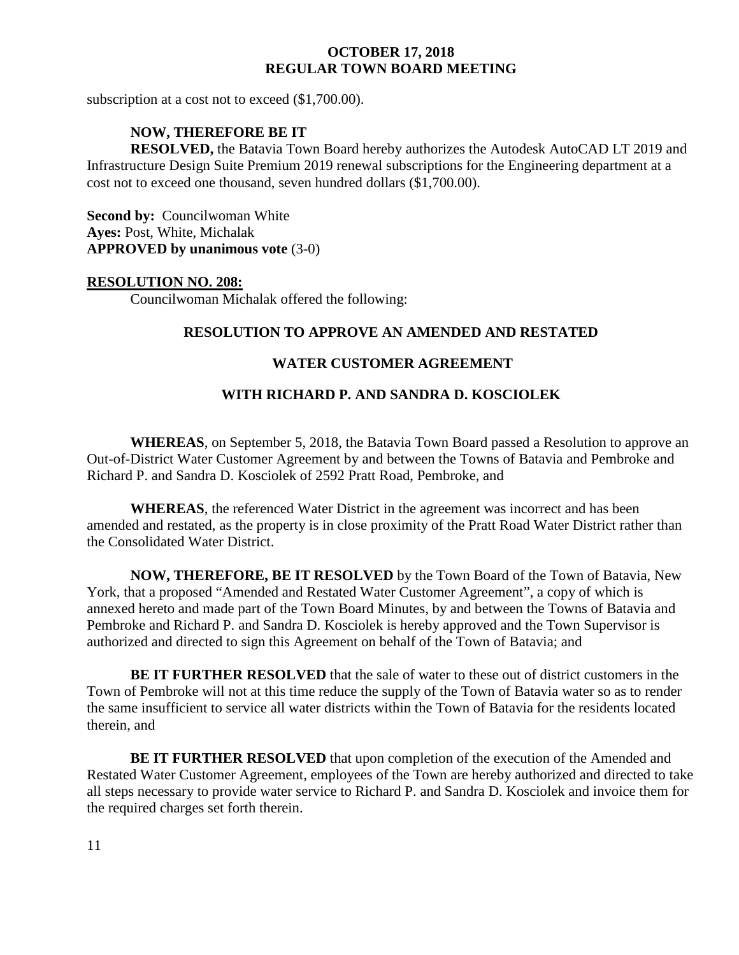subscription at a cost not to exceed  $(\$1,700.00)$ .

# **NOW, THEREFORE BE IT**

**RESOLVED,** the Batavia Town Board hereby authorizes the Autodesk AutoCAD LT 2019 and Infrastructure Design Suite Premium 2019 renewal subscriptions for the Engineering department at a cost not to exceed one thousand, seven hundred dollars (\$1,700.00).

**Second by: Councilwoman White Ayes:** Post, White, Michalak **APPROVED by unanimous vote** (3-0)

#### **RESOLUTION NO. 208:**

Councilwoman Michalak offered the following:

## **RESOLUTION TO APPROVE AN AMENDED AND RESTATED**

## **WATER CUSTOMER AGREEMENT**

## **WITH RICHARD P. AND SANDRA D. KOSCIOLEK**

**WHEREAS**, on September 5, 2018, the Batavia Town Board passed a Resolution to approve an Out-of-District Water Customer Agreement by and between the Towns of Batavia and Pembroke and Richard P. and Sandra D. Kosciolek of 2592 Pratt Road, Pembroke, and

**WHEREAS**, the referenced Water District in the agreement was incorrect and has been amended and restated, as the property is in close proximity of the Pratt Road Water District rather than the Consolidated Water District.

**NOW, THEREFORE, BE IT RESOLVED** by the Town Board of the Town of Batavia, New York, that a proposed "Amended and Restated Water Customer Agreement", a copy of which is annexed hereto and made part of the Town Board Minutes, by and between the Towns of Batavia and Pembroke and Richard P. and Sandra D. Kosciolek is hereby approved and the Town Supervisor is authorized and directed to sign this Agreement on behalf of the Town of Batavia; and

**BE IT FURTHER RESOLVED** that the sale of water to these out of district customers in the Town of Pembroke will not at this time reduce the supply of the Town of Batavia water so as to render the same insufficient to service all water districts within the Town of Batavia for the residents located therein, and

**BE IT FURTHER RESOLVED** that upon completion of the execution of the Amended and Restated Water Customer Agreement, employees of the Town are hereby authorized and directed to take all steps necessary to provide water service to Richard P. and Sandra D. Kosciolek and invoice them for the required charges set forth therein.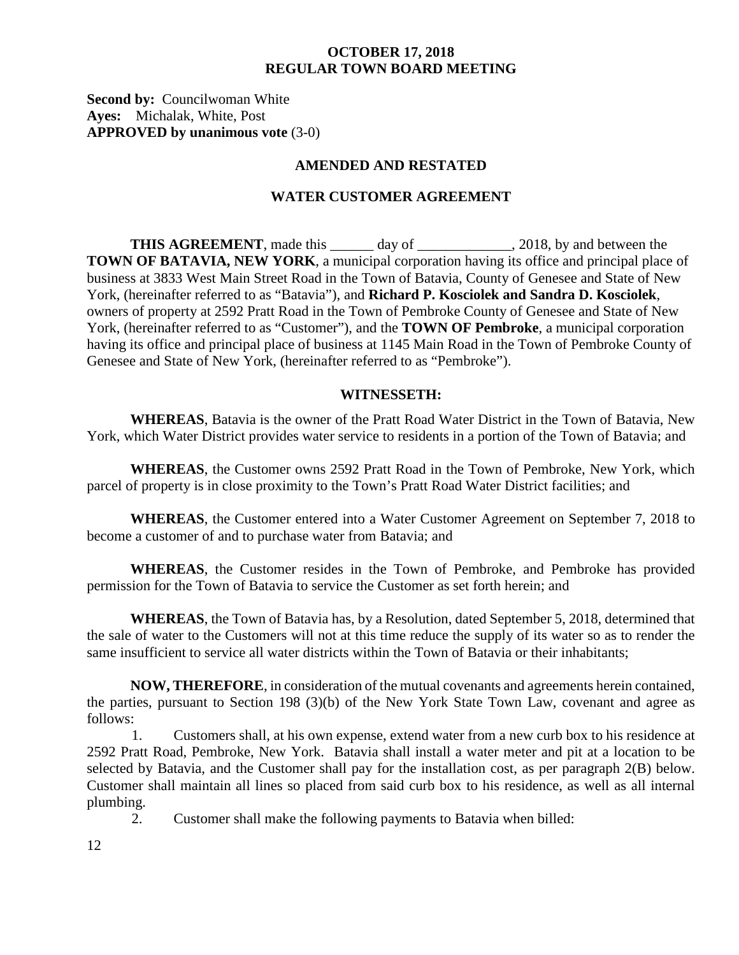**Second by: Councilwoman White Ayes:** Michalak, White, Post **APPROVED by unanimous vote** (3-0)

# **AMENDED AND RESTATED**

# **WATER CUSTOMER AGREEMENT**

**THIS AGREEMENT**, made this \_\_\_\_\_\_ day of \_\_\_\_\_\_\_\_\_\_\_, 2018, by and between the **TOWN OF BATAVIA, NEW YORK**, a municipal corporation having its office and principal place of business at 3833 West Main Street Road in the Town of Batavia, County of Genesee and State of New York, (hereinafter referred to as "Batavia"), and **Richard P. Kosciolek and Sandra D. Kosciolek**, owners of property at 2592 Pratt Road in the Town of Pembroke County of Genesee and State of New York, (hereinafter referred to as "Customer"), and the **TOWN OF Pembroke**, a municipal corporation having its office and principal place of business at 1145 Main Road in the Town of Pembroke County of Genesee and State of New York, (hereinafter referred to as "Pembroke").

## **WITNESSETH:**

**WHEREAS**, Batavia is the owner of the Pratt Road Water District in the Town of Batavia, New York, which Water District provides water service to residents in a portion of the Town of Batavia; and

**WHEREAS**, the Customer owns 2592 Pratt Road in the Town of Pembroke, New York, which parcel of property is in close proximity to the Town's Pratt Road Water District facilities; and

**WHEREAS**, the Customer entered into a Water Customer Agreement on September 7, 2018 to become a customer of and to purchase water from Batavia; and

**WHEREAS**, the Customer resides in the Town of Pembroke, and Pembroke has provided permission for the Town of Batavia to service the Customer as set forth herein; and

**WHEREAS**, the Town of Batavia has, by a Resolution, dated September 5, 2018, determined that the sale of water to the Customers will not at this time reduce the supply of its water so as to render the same insufficient to service all water districts within the Town of Batavia or their inhabitants;

**NOW, THEREFORE**, in consideration of the mutual covenants and agreements herein contained, the parties, pursuant to Section 198 (3)(b) of the New York State Town Law, covenant and agree as follows:

1. Customers shall, at his own expense, extend water from a new curb box to his residence at 2592 Pratt Road, Pembroke, New York. Batavia shall install a water meter and pit at a location to be selected by Batavia, and the Customer shall pay for the installation cost, as per paragraph 2(B) below. Customer shall maintain all lines so placed from said curb box to his residence, as well as all internal plumbing.

2. Customer shall make the following payments to Batavia when billed: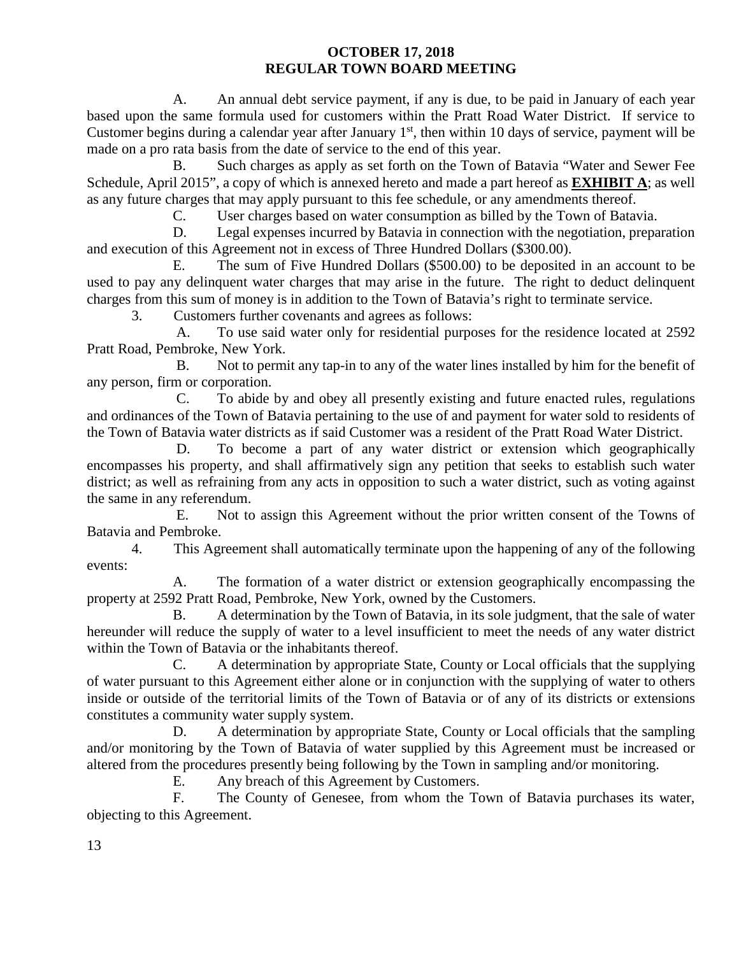A. An annual debt service payment, if any is due, to be paid in January of each year based upon the same formula used for customers within the Pratt Road Water District. If service to Customer begins during a calendar year after January  $1<sup>st</sup>$ , then within 10 days of service, payment will be made on a pro rata basis from the date of service to the end of this year.

B. Such charges as apply as set forth on the Town of Batavia "Water and Sewer Fee Schedule, April 2015", a copy of which is annexed hereto and made a part hereof as **EXHIBIT A**; as well as any future charges that may apply pursuant to this fee schedule, or any amendments thereof.

C. User charges based on water consumption as billed by the Town of Batavia.

D. Legal expenses incurred by Batavia in connection with the negotiation, preparation and execution of this Agreement not in excess of Three Hundred Dollars (\$300.00).

E. The sum of Five Hundred Dollars (\$500.00) to be deposited in an account to be used to pay any delinquent water charges that may arise in the future. The right to deduct delinquent charges from this sum of money is in addition to the Town of Batavia's right to terminate service.

3. Customers further covenants and agrees as follows:

A. To use said water only for residential purposes for the residence located at 2592 Pratt Road, Pembroke, New York.

B. Not to permit any tap-in to any of the water lines installed by him for the benefit of any person, firm or corporation.

C. To abide by and obey all presently existing and future enacted rules, regulations and ordinances of the Town of Batavia pertaining to the use of and payment for water sold to residents of the Town of Batavia water districts as if said Customer was a resident of the Pratt Road Water District.

D. To become a part of any water district or extension which geographically encompasses his property, and shall affirmatively sign any petition that seeks to establish such water district; as well as refraining from any acts in opposition to such a water district, such as voting against the same in any referendum.

E. Not to assign this Agreement without the prior written consent of the Towns of Batavia and Pembroke.

4. This Agreement shall automatically terminate upon the happening of any of the following events:

A. The formation of a water district or extension geographically encompassing the property at 2592 Pratt Road, Pembroke, New York, owned by the Customers.

B. A determination by the Town of Batavia, in its sole judgment, that the sale of water hereunder will reduce the supply of water to a level insufficient to meet the needs of any water district within the Town of Batavia or the inhabitants thereof.

C. A determination by appropriate State, County or Local officials that the supplying of water pursuant to this Agreement either alone or in conjunction with the supplying of water to others inside or outside of the territorial limits of the Town of Batavia or of any of its districts or extensions constitutes a community water supply system.

D. A determination by appropriate State, County or Local officials that the sampling and/or monitoring by the Town of Batavia of water supplied by this Agreement must be increased or altered from the procedures presently being following by the Town in sampling and/or monitoring.

E. Any breach of this Agreement by Customers.

F. The County of Genesee, from whom the Town of Batavia purchases its water, objecting to this Agreement.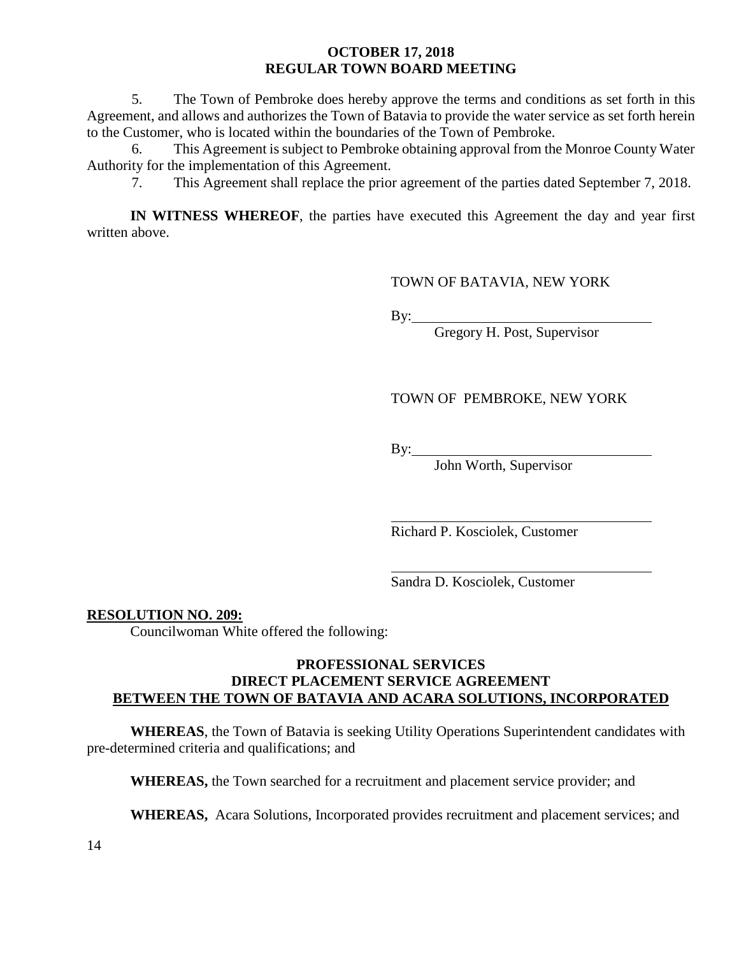5. The Town of Pembroke does hereby approve the terms and conditions as set forth in this Agreement, and allows and authorizes the Town of Batavia to provide the water service as set forth herein to the Customer, who is located within the boundaries of the Town of Pembroke.

6. This Agreement is subject to Pembroke obtaining approval from the Monroe County Water Authority for the implementation of this Agreement.

7. This Agreement shall replace the prior agreement of the parties dated September 7, 2018.

**IN WITNESS WHEREOF**, the parties have executed this Agreement the day and year first written above.

TOWN OF BATAVIA, NEW YORK

 $By:$ 

Gregory H. Post, Supervisor

## TOWN OF PEMBROKE, NEW YORK

By:

John Worth, Supervisor

Richard P. Kosciolek, Customer

Sandra D. Kosciolek, Customer

## **RESOLUTION NO. 209:**

Councilwoman White offered the following:

## **PROFESSIONAL SERVICES DIRECT PLACEMENT SERVICE AGREEMENT BETWEEN THE TOWN OF BATAVIA AND ACARA SOLUTIONS, INCORPORATED**

**WHEREAS**, the Town of Batavia is seeking Utility Operations Superintendent candidates with pre-determined criteria and qualifications; and

**WHEREAS,** the Town searched for a recruitment and placement service provider; and

**WHEREAS,** Acara Solutions, Incorporated provides recruitment and placement services; and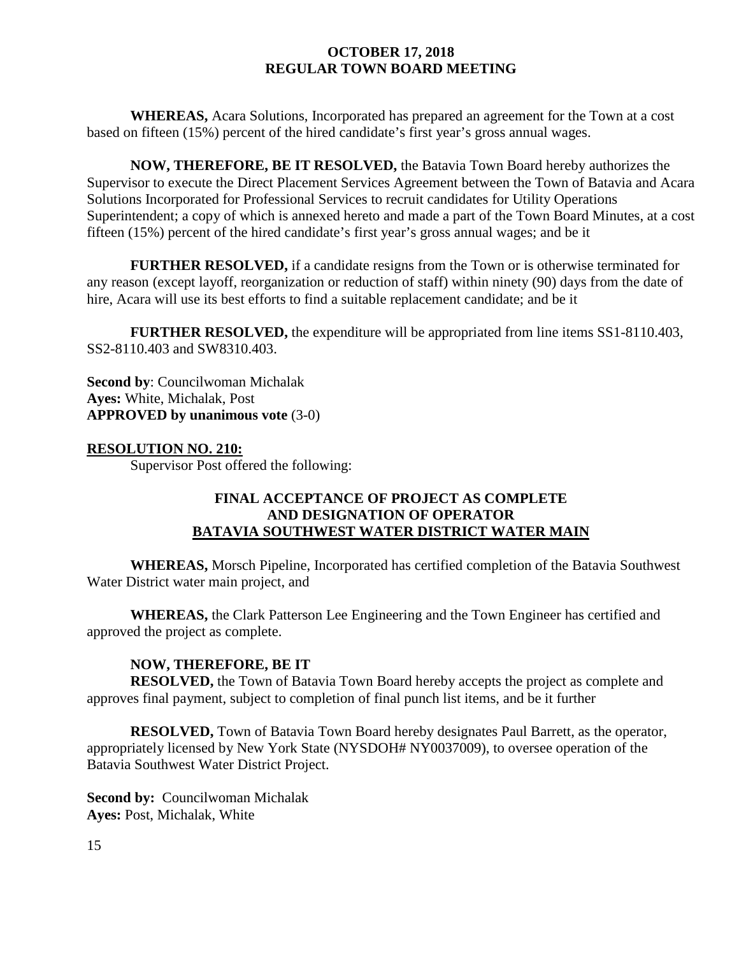**WHEREAS,** Acara Solutions, Incorporated has prepared an agreement for the Town at a cost based on fifteen (15%) percent of the hired candidate's first year's gross annual wages.

**NOW, THEREFORE, BE IT RESOLVED,** the Batavia Town Board hereby authorizes the Supervisor to execute the Direct Placement Services Agreement between the Town of Batavia and Acara Solutions Incorporated for Professional Services to recruit candidates for Utility Operations Superintendent; a copy of which is annexed hereto and made a part of the Town Board Minutes, at a cost fifteen (15%) percent of the hired candidate's first year's gross annual wages; and be it

**FURTHER RESOLVED,** if a candidate resigns from the Town or is otherwise terminated for any reason (except layoff, reorganization or reduction of staff) within ninety (90) days from the date of hire, Acara will use its best efforts to find a suitable replacement candidate; and be it

**FURTHER RESOLVED,** the expenditure will be appropriated from line items SS1-8110.403, SS2-8110.403 and SW8310.403.

**Second by**: Councilwoman Michalak **Ayes:** White, Michalak, Post **APPROVED by unanimous vote** (3-0)

**RESOLUTION NO. 210:**

Supervisor Post offered the following:

# **FINAL ACCEPTANCE OF PROJECT AS COMPLETE AND DESIGNATION OF OPERATOR BATAVIA SOUTHWEST WATER DISTRICT WATER MAIN**

**WHEREAS,** Morsch Pipeline, Incorporated has certified completion of the Batavia Southwest Water District water main project, and

**WHEREAS,** the Clark Patterson Lee Engineering and the Town Engineer has certified and approved the project as complete.

# **NOW, THEREFORE, BE IT**

**RESOLVED,** the Town of Batavia Town Board hereby accepts the project as complete and approves final payment, subject to completion of final punch list items, and be it further

**RESOLVED,** Town of Batavia Town Board hereby designates Paul Barrett, as the operator, appropriately licensed by New York State (NYSDOH# NY0037009), to oversee operation of the Batavia Southwest Water District Project.

**Second by: Councilwoman Michalak Ayes:** Post, Michalak, White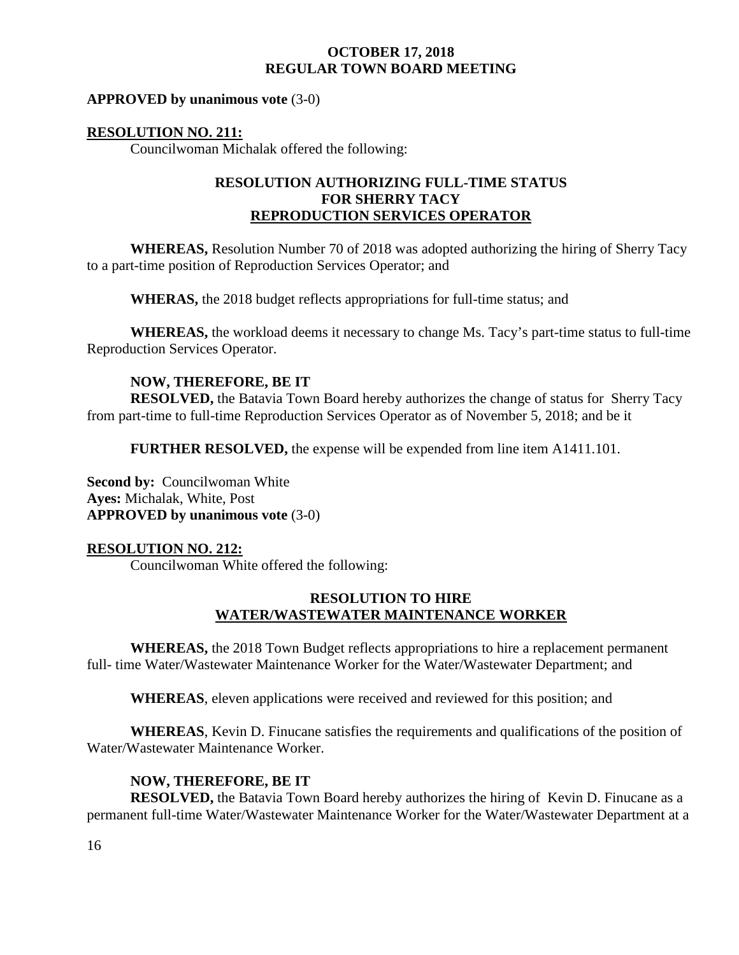#### **APPROVED by unanimous vote** (3-0)

#### **RESOLUTION NO. 211:**

Councilwoman Michalak offered the following:

## **RESOLUTION AUTHORIZING FULL-TIME STATUS FOR SHERRY TACY REPRODUCTION SERVICES OPERATOR**

**WHEREAS,** Resolution Number 70 of 2018 was adopted authorizing the hiring of Sherry Tacy to a part-time position of Reproduction Services Operator; and

**WHERAS,** the 2018 budget reflects appropriations for full-time status; and

**WHEREAS,** the workload deems it necessary to change Ms. Tacy's part-time status to full-time Reproduction Services Operator.

#### **NOW, THEREFORE, BE IT**

**RESOLVED,** the Batavia Town Board hereby authorizes the change of status for Sherry Tacy from part-time to full-time Reproduction Services Operator as of November 5, 2018; and be it

**FURTHER RESOLVED,** the expense will be expended from line item A1411.101.

**Second by: Councilwoman White Ayes:** Michalak, White, Post **APPROVED by unanimous vote** (3-0)

#### **RESOLUTION NO. 212:**

Councilwoman White offered the following:

## **RESOLUTION TO HIRE WATER/WASTEWATER MAINTENANCE WORKER**

**WHEREAS,** the 2018 Town Budget reflects appropriations to hire a replacement permanent full- time Water/Wastewater Maintenance Worker for the Water/Wastewater Department; and

**WHEREAS**, eleven applications were received and reviewed for this position; and

**WHEREAS**, Kevin D. Finucane satisfies the requirements and qualifications of the position of Water/Wastewater Maintenance Worker.

#### **NOW, THEREFORE, BE IT**

**RESOLVED,** the Batavia Town Board hereby authorizes the hiring of Kevin D. Finucane as a permanent full-time Water/Wastewater Maintenance Worker for the Water/Wastewater Department at a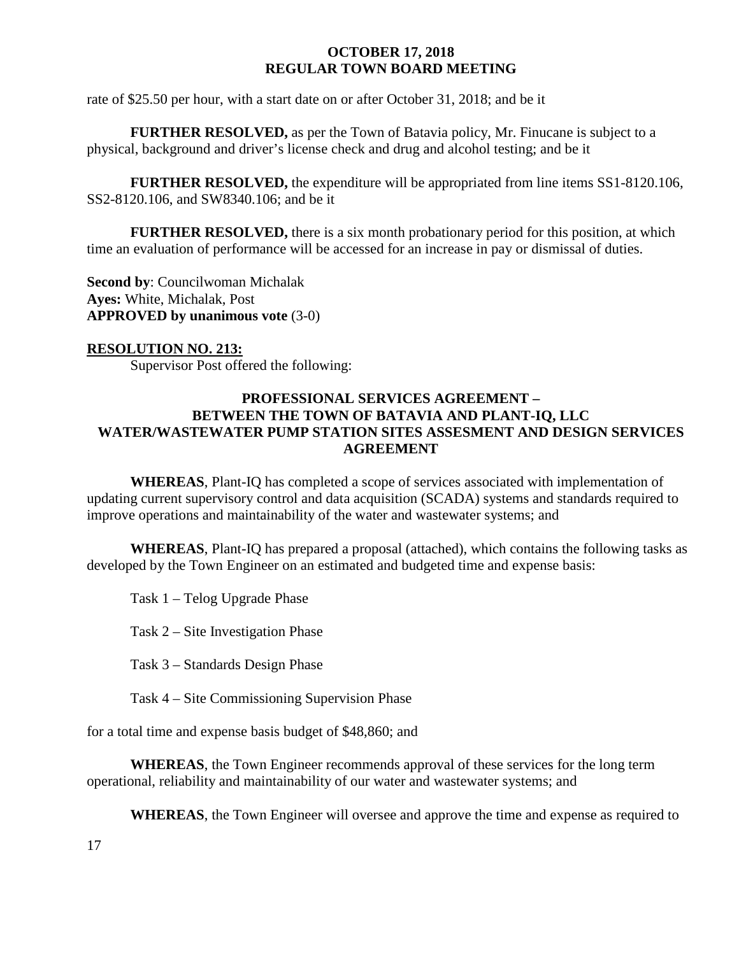rate of \$25.50 per hour, with a start date on or after October 31, 2018; and be it

**FURTHER RESOLVED,** as per the Town of Batavia policy, Mr. Finucane is subject to a physical, background and driver's license check and drug and alcohol testing; and be it

**FURTHER RESOLVED,** the expenditure will be appropriated from line items SS1-8120.106, SS2-8120.106, and SW8340.106; and be it

**FURTHER RESOLVED,** there is a six month probationary period for this position, at which time an evaluation of performance will be accessed for an increase in pay or dismissal of duties.

**Second by**: Councilwoman Michalak **Ayes:** White, Michalak, Post **APPROVED by unanimous vote** (3-0)

## **RESOLUTION NO. 213:**

Supervisor Post offered the following:

## **PROFESSIONAL SERVICES AGREEMENT – BETWEEN THE TOWN OF BATAVIA AND PLANT-IQ, LLC WATER/WASTEWATER PUMP STATION SITES ASSESMENT AND DESIGN SERVICES AGREEMENT**

**WHEREAS**, Plant-IQ has completed a scope of services associated with implementation of updating current supervisory control and data acquisition (SCADA) systems and standards required to improve operations and maintainability of the water and wastewater systems; and

**WHEREAS**, Plant-IQ has prepared a proposal (attached), which contains the following tasks as developed by the Town Engineer on an estimated and budgeted time and expense basis:

Task 1 – Telog Upgrade Phase

Task 2 – Site Investigation Phase

Task 3 – Standards Design Phase

Task 4 – Site Commissioning Supervision Phase

for a total time and expense basis budget of \$48,860; and

**WHEREAS**, the Town Engineer recommends approval of these services for the long term operational, reliability and maintainability of our water and wastewater systems; and

**WHEREAS**, the Town Engineer will oversee and approve the time and expense as required to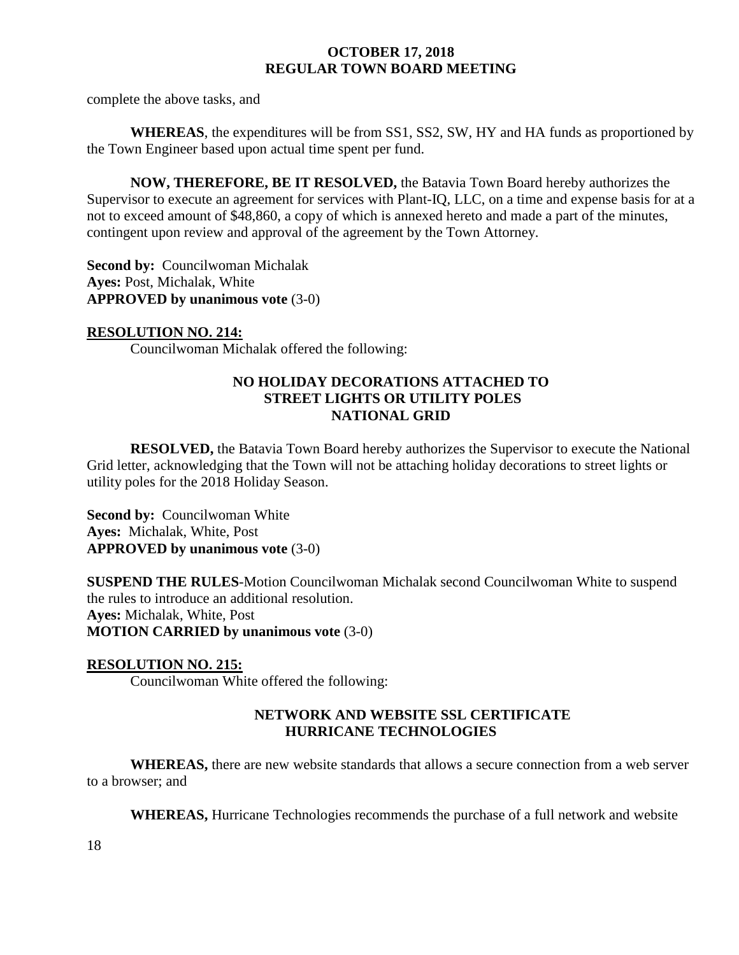complete the above tasks, and

**WHEREAS**, the expenditures will be from SS1, SS2, SW, HY and HA funds as proportioned by the Town Engineer based upon actual time spent per fund.

**NOW, THEREFORE, BE IT RESOLVED,** the Batavia Town Board hereby authorizes the Supervisor to execute an agreement for services with Plant-IQ, LLC, on a time and expense basis for at a not to exceed amount of \$48,860, a copy of which is annexed hereto and made a part of the minutes, contingent upon review and approval of the agreement by the Town Attorney.

**Second by:** Councilwoman Michalak **Ayes:** Post, Michalak, White **APPROVED by unanimous vote** (3-0)

## **RESOLUTION NO. 214:**

Councilwoman Michalak offered the following:

## **NO HOLIDAY DECORATIONS ATTACHED TO STREET LIGHTS OR UTILITY POLES NATIONAL GRID**

**RESOLVED,** the Batavia Town Board hereby authorizes the Supervisor to execute the National Grid letter, acknowledging that the Town will not be attaching holiday decorations to street lights or utility poles for the 2018 Holiday Season.

**Second by: Councilwoman White Ayes:** Michalak, White, Post **APPROVED by unanimous vote** (3-0)

**SUSPEND THE RULES**-Motion Councilwoman Michalak second Councilwoman White to suspend the rules to introduce an additional resolution. **Ayes:** Michalak, White, Post **MOTION CARRIED by unanimous vote** (3-0)

## **RESOLUTION NO. 215:**

Councilwoman White offered the following:

## **NETWORK AND WEBSITE SSL CERTIFICATE HURRICANE TECHNOLOGIES**

**WHEREAS,** there are new website standards that allows a secure connection from a web server to a browser; and

**WHEREAS,** Hurricane Technologies recommends the purchase of a full network and website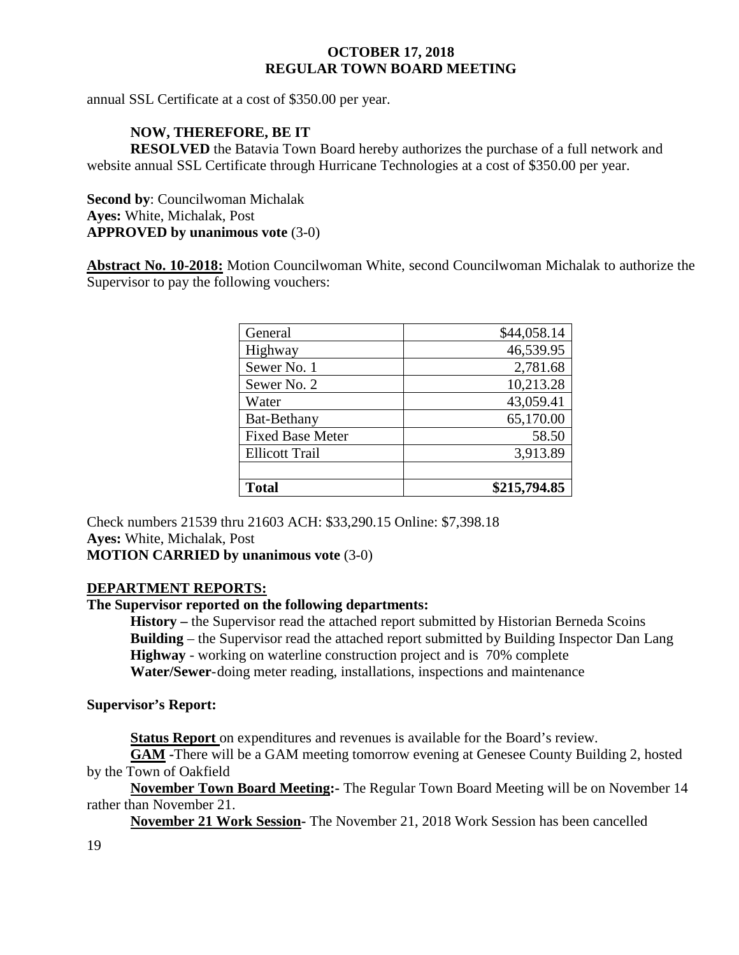annual SSL Certificate at a cost of \$350.00 per year.

# **NOW, THEREFORE, BE IT**

**RESOLVED** the Batavia Town Board hereby authorizes the purchase of a full network and website annual SSL Certificate through Hurricane Technologies at a cost of \$350.00 per year.

**Second by**: Councilwoman Michalak **Ayes:** White, Michalak, Post **APPROVED by unanimous vote** (3-0)

**Abstract No. 10-2018:** Motion Councilwoman White, second Councilwoman Michalak to authorize the Supervisor to pay the following vouchers:

| General                 | \$44,058.14  |
|-------------------------|--------------|
| Highway                 | 46,539.95    |
| Sewer No. 1             | 2,781.68     |
| Sewer No. 2             | 10,213.28    |
| Water                   | 43,059.41    |
| Bat-Bethany             | 65,170.00    |
| <b>Fixed Base Meter</b> | 58.50        |
| <b>Ellicott Trail</b>   | 3,913.89     |
|                         |              |
| <b>Total</b>            | \$215,794.85 |

Check numbers 21539 thru 21603 ACH: \$33,290.15 Online: \$7,398.18 **Ayes:** White, Michalak, Post **MOTION CARRIED by unanimous vote** (3-0)

## **DEPARTMENT REPORTS:**

## **The Supervisor reported on the following departments:**

**History –** the Supervisor read the attached report submitted by Historian Berneda Scoins **Building** – the Supervisor read the attached report submitted by Building Inspector Dan Lang **Highway** - working on waterline construction project and is 70% complete **Water/Sewer**-doing meter reading, installations, inspections and maintenance

#### **Supervisor's Report:**

**Status Report** on expenditures and revenues is available for the Board's review.

**GAM -**There will be a GAM meeting tomorrow evening at Genesee County Building 2, hosted by the Town of Oakfield

**November Town Board Meeting:-** The Regular Town Board Meeting will be on November 14 rather than November 21.

**November 21 Work Session-** The November 21, 2018 Work Session has been cancelled